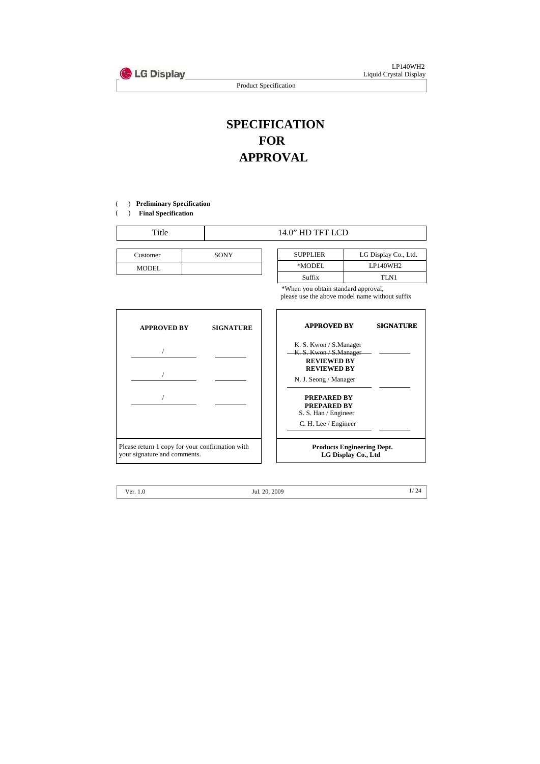

LP140WH2 Liquid Crystal Display

Product Specification

# **SPECIFICATION FOR APPROVAL**

) ( **Preliminary Specification**

) ( **Final Specification**

| m | HD TFT LCD |
|---|------------|
|   |            |

| Customer | <b>SONY</b> |
|----------|-------------|
| MODEL    |             |

| Customer | <b>SONY</b> | <b>SUPPLIER</b> | LG Display Co., Ltd. |
|----------|-------------|-----------------|----------------------|
| MODEL    |             | *MODEL          | LP140WH2             |
|          |             | Suffix          | TLN1                 |

\*When you obtain standard approval, please use the above model name without suffix



Ver. 1.0 1/ 24 Jul. 20, 2009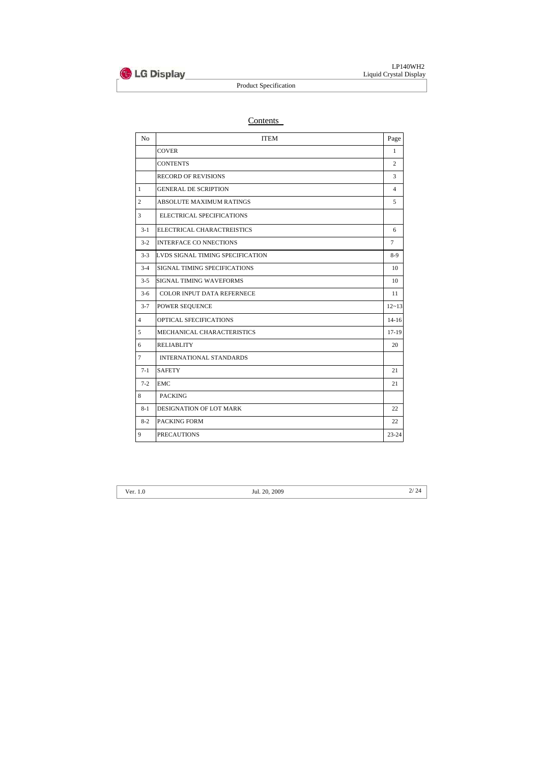

# Contents

| N <sub>o</sub> | <b>ITEM</b>                       | Page           |
|----------------|-----------------------------------|----------------|
|                | <b>COVER</b>                      | 1              |
|                | <b>CONTENTS</b>                   | $\overline{2}$ |
|                | <b>RECORD OF REVISIONS</b>        | 3              |
| $\mathbf{1}$   | <b>GENERAL DE SCRIPTION</b>       | $\overline{4}$ |
| $\overline{2}$ | ABSOLUTE MAXIMUM RATINGS          | 5              |
| 3              | ELECTRICAL SPECIFICATIONS         |                |
| $3-1$          | ELECTRICAL CHARACTREISTICS        | 6              |
| $3-2$          | <b>INTERFACE CO NNECTIONS</b>     | $\overline{7}$ |
| $3 - 3$        | LVDS SIGNAL TIMING SPECIFICATION  | $8-9$          |
| $3-4$          | SIGNAL TIMING SPECIFICATIONS      | 10             |
| $3 - 5$        | SIGNAL TIMING WAVEFORMS           | 10             |
| $3 - 6$        | <b>COLOR INPUT DATA REFERNECE</b> | 11             |
| $3 - 7$        | POWER SEQUENCE                    | $12 - 13$      |
| $\overline{4}$ | OPTICAL SFECIFICATIONS            | $14 - 16$      |
| 5              | MECHANICAL CHARACTERISTICS        | $17-19$        |
| 6              | <b>RELIABLITY</b>                 | 20             |
| $\tau$         | <b>INTERNATIONAL STANDARDS</b>    |                |
| $7-1$          | <b>SAFETY</b>                     | 21             |
| $7 - 2$        | <b>EMC</b>                        | 21             |
| $8\,$          | <b>PACKING</b>                    |                |
| $8 - 1$        | DESIGNATION OF LOT MARK           | 22             |
| $8-2$          | PACKING FORM                      | 22             |
| 9              | <b>PRECAUTIONS</b>                | 23-24          |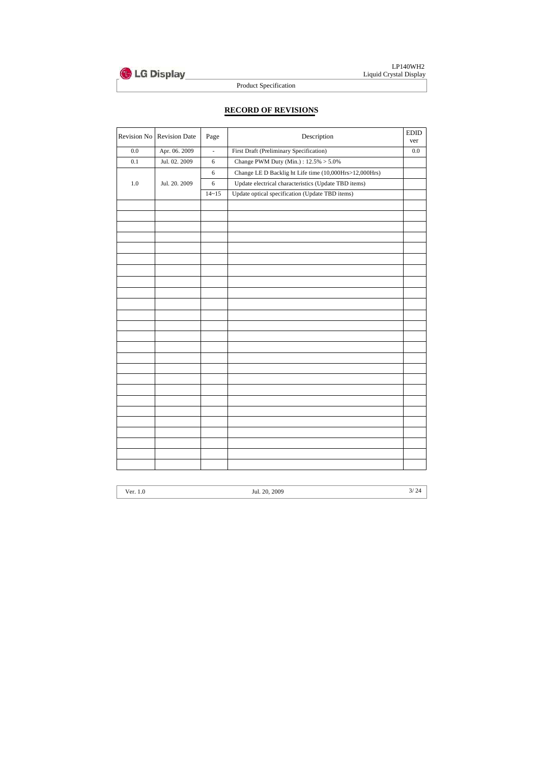

LP140WH2 Liquid Crystal Display

Product Specification

# **RECORD OF REVISIONS**

| Revision No | <b>Revision Date</b> | Page          | Description                                            | <b>EDID</b><br>ver |
|-------------|----------------------|---------------|--------------------------------------------------------|--------------------|
| 0.0         | Apr. 06. 2009        | $\frac{1}{2}$ | First Draft (Preliminary Specification)                | $0.0\,$            |
| 0.1         | Jul. 02. 2009        | 6             | Change PWM Duty (Min.): $12.5\% > 5.0\%$               |                    |
|             |                      | $6\,$         | Change LE D Backlig ht Life time (10,000Hrs>12,000Hrs) |                    |
| $1.0\,$     | Jul. 20. 2009        | $6\,$         | Update electrical characteristics (Update TBD items)   |                    |
|             |                      | $14 - 15$     | Update optical specification (Update TBD items)        |                    |
|             |                      |               |                                                        |                    |
|             |                      |               |                                                        |                    |
|             |                      |               |                                                        |                    |
|             |                      |               |                                                        |                    |
|             |                      |               |                                                        |                    |
|             |                      |               |                                                        |                    |
|             |                      |               |                                                        |                    |
|             |                      |               |                                                        |                    |
|             |                      |               |                                                        |                    |
|             |                      |               |                                                        |                    |
|             |                      |               |                                                        |                    |
|             |                      |               |                                                        |                    |
|             |                      |               |                                                        |                    |
|             |                      |               |                                                        |                    |
|             |                      |               |                                                        |                    |
|             |                      |               |                                                        |                    |
|             |                      |               |                                                        |                    |
|             |                      |               |                                                        |                    |
|             |                      |               |                                                        |                    |
|             |                      |               |                                                        |                    |
|             |                      |               |                                                        |                    |
|             |                      |               |                                                        |                    |
|             |                      |               |                                                        |                    |
|             |                      |               |                                                        |                    |
|             |                      |               |                                                        |                    |
|             |                      |               |                                                        |                    |

| v    | .0 |
|------|----|
| ∙er. |    |
|      |    |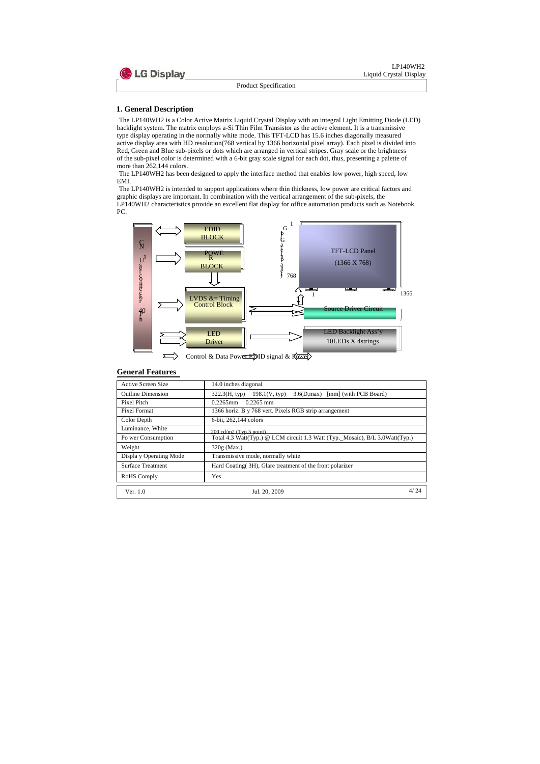

#### **1. General Description**

The LP140WH2 is a Color Active Matrix Liquid Crystal Display with an integral Light Emitting Diode (LED) backlight system. The matrix employs a-Si Thin Film Transistor as the active element. It is a transmissive type display operating in the normally white mode. This TFT-LCD has 15.6 inches diagonally measured active display area with HD resolution(768 vertical by 1366 horizontal pixel array). Each pixel is divided into Red, Green and Blue sub-pixels or dots which are arranged in vertical stripes. Gray scale or the brightness of the sub-pixel color is determined with a 6-bit gray scale signal for each dot, thus, presenting a palette of more than 262,144 colors.

The LP140WH2 has been designed to apply the interface method that enables low power, high speed, low EMI.

The LP140WH2 is intended to support applications where thin thickness, low power are critical factors and graphic displays are important. In combination with the vertical arrangement of the sub-pixels, the LP140WH2 characteristics provide an excellent flat display for office automation products such as Notebook PC.



#### **General Features**

| Active Screen Size       | 14.0 inches diagonal                                                         |  |  |  |  |  |
|--------------------------|------------------------------------------------------------------------------|--|--|--|--|--|
| <b>Outline Dimension</b> | 198.1(V, typ)<br>[mm] (with PCB Board)<br>322.3(H, tvp)<br>3.6(D,max)        |  |  |  |  |  |
| Pixel Pitch              | $0.2265$ mm<br>$0.2265$ mm                                                   |  |  |  |  |  |
| Pixel Format             | 1366 horiz. B y 768 vert. Pixels RGB strip arrangement                       |  |  |  |  |  |
| Color Depth              | 6-bit, 262, 144 colors                                                       |  |  |  |  |  |
| Luminance, White         | $200 \text{ cd/m2}$ (Typ.5 point)                                            |  |  |  |  |  |
| Po wer Consumption       | Total 4.3 Watt(Typ.) @ LCM circuit 1.3 Watt (Typ._Mosaic), B/L 3.0Watt(Typ.) |  |  |  |  |  |
| Weight                   | $320g$ (Max.)                                                                |  |  |  |  |  |
| Displa y Operating Mode  | Transmissive mode, normally white                                            |  |  |  |  |  |
| <b>Surface Treatment</b> | Hard Coating (3H), Glare treatment of the front polarizer                    |  |  |  |  |  |
| RoHS Comply              | Yes                                                                          |  |  |  |  |  |
| Ver. $1.0$               | 4/ 74<br>Jul. 20, 2009                                                       |  |  |  |  |  |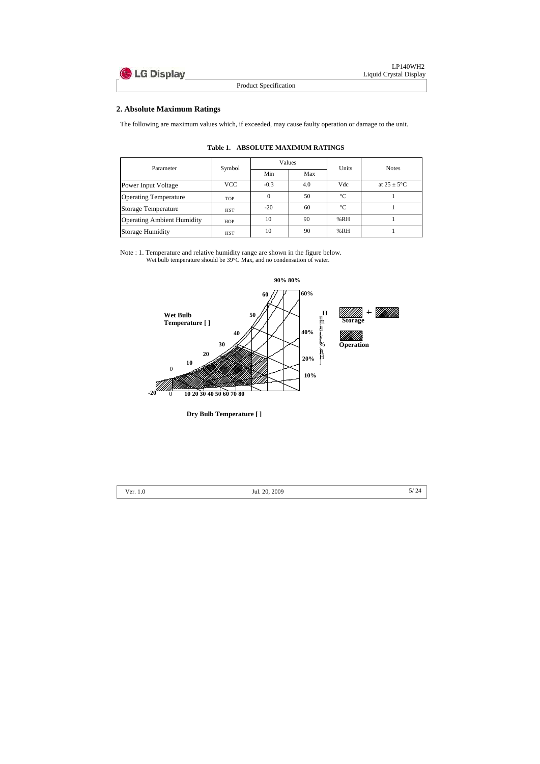

## **2. Absolute Maximum Ratings**

The following are maximum values which, if exceeded, may cause faulty operation or damage to the unit.

| Parameter                         |            |        | Values | Units       | <b>Notes</b>            |  |
|-----------------------------------|------------|--------|--------|-------------|-------------------------|--|
|                                   | Symbol     | Min    | Max    |             |                         |  |
| Power Input Voltage               | VCC        | $-0.3$ | 4.0    | Vdc         | at $25 \pm 5^{\circ}$ C |  |
| <b>Operating Temperature</b>      | <b>TOP</b> |        | 50     | $^{\circ}C$ |                         |  |
| Storage Temperature               | <b>HST</b> | $-20$  | 60     | $^{\circ}C$ |                         |  |
| <b>Operating Ambient Humidity</b> | <b>HOP</b> | 10     | 90     | %RH         |                         |  |
| Storage Humidity                  | <b>HST</b> | 10     | 90     | %RH         |                         |  |

**Table 1. ABSOLUTE MAXIMUM RATINGS**

Note : 1. Temperature and relative humidity range are shown in the figure below. Wet bulb temperature should be 39°C Max, and no condensation of water.



**Dry Bulb Temperature [ ]**

|  | ነበበር<br>20.<br>п |  |
|--|------------------|--|
|  |                  |  |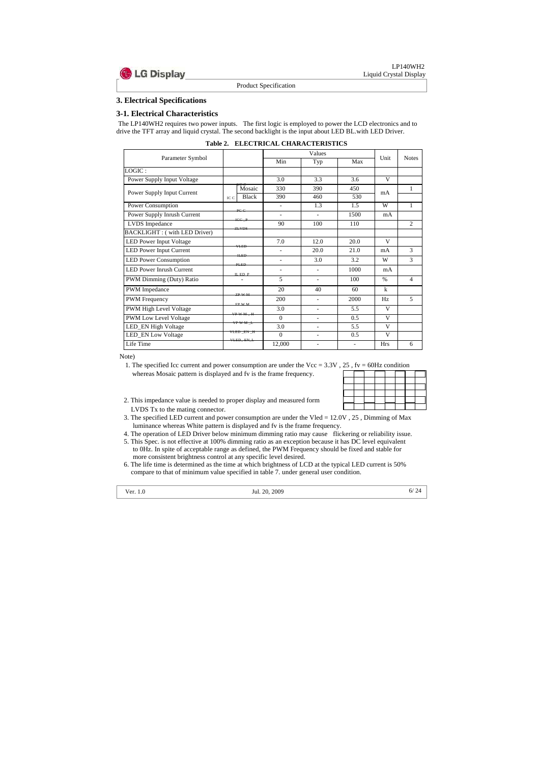

**3. Electrical Specifications**

#### **3-1. Electrical Characteristics**

The LP140WH2 requires two power inputs. The first logic is employed to power the LCD electronics and to drive the TFT array and liquid crystal. The second backlight is the input about LED BL.with LED Driver.

|  | <b>Table 2. ELECTRICAL CHARACTERISTICS</b> |
|--|--------------------------------------------|
|  |                                            |

1. The specified Icc current and power consumption are under the Vcc =  $3.3V$ ,  $25$ ,  $fv = 60Hz$  condition whereas Mosaic pattern is displayed and fv is the frame frequency.

|                                     | Values<br>Min<br>Max<br>Typ<br>3.0<br>3.3<br>3.6<br>Mosaic<br>330<br>390<br>450<br><b>Black</b><br>390<br>460<br>530<br>IC C<br>1.3<br>1.5<br>L.<br>PCC<br>1500<br>$\overline{a}$<br>L,<br>$_{\text{ICC}}$ $_{\text{P}}$<br>90<br>100<br>110<br><b>ZLVDS</b><br>7.0<br>20.0<br>12.0<br>VLED<br>20.0<br>21.0<br>H.F.D<br>3.0<br>3.2<br>PLED<br>1000<br>IL ED P<br>5<br>100<br>20<br>40<br>60<br>ZP W M<br>200<br>2000<br>$\overline{a}$<br><b>FPWM</b> |                        |          |                |                          |               |                |
|-------------------------------------|-------------------------------------------------------------------------------------------------------------------------------------------------------------------------------------------------------------------------------------------------------------------------------------------------------------------------------------------------------------------------------------------------------------------------------------------------------|------------------------|----------|----------------|--------------------------|---------------|----------------|
| Parameter Symbol                    |                                                                                                                                                                                                                                                                                                                                                                                                                                                       |                        |          |                |                          | Unit          | <b>Notes</b>   |
| LOGIC:                              |                                                                                                                                                                                                                                                                                                                                                                                                                                                       |                        |          |                |                          |               |                |
| Power Supply Input Voltage          |                                                                                                                                                                                                                                                                                                                                                                                                                                                       |                        |          |                |                          | V             |                |
|                                     |                                                                                                                                                                                                                                                                                                                                                                                                                                                       |                        |          |                |                          | mA            | 1              |
| Power Supply Input Current          |                                                                                                                                                                                                                                                                                                                                                                                                                                                       |                        |          |                |                          |               |                |
| Power Consumption                   |                                                                                                                                                                                                                                                                                                                                                                                                                                                       |                        |          |                |                          | W             | 1              |
| Power Supply Inrush Current         |                                                                                                                                                                                                                                                                                                                                                                                                                                                       |                        |          |                |                          | mA            |                |
| <b>LVDS</b> Impedance               |                                                                                                                                                                                                                                                                                                                                                                                                                                                       |                        |          |                |                          |               | $\overline{2}$ |
| <b>BACKLIGHT: (with LED Driver)</b> |                                                                                                                                                                                                                                                                                                                                                                                                                                                       |                        |          |                |                          |               |                |
| <b>LED Power Input Voltage</b>      |                                                                                                                                                                                                                                                                                                                                                                                                                                                       |                        |          |                |                          | $\mathbf{V}$  |                |
| <b>LED Power Input Current</b>      |                                                                                                                                                                                                                                                                                                                                                                                                                                                       |                        |          |                |                          | mA            | 3              |
| <b>LED Power Consumption</b>        |                                                                                                                                                                                                                                                                                                                                                                                                                                                       |                        |          |                |                          | W             | 3              |
| <b>LED Power Inrush Current</b>     |                                                                                                                                                                                                                                                                                                                                                                                                                                                       |                        |          |                |                          | mA            |                |
| PWM Dimming (Duty) Ratio            |                                                                                                                                                                                                                                                                                                                                                                                                                                                       |                        |          |                |                          | $\frac{0}{0}$ | 4              |
| PWM Impedance                       |                                                                                                                                                                                                                                                                                                                                                                                                                                                       |                        |          |                |                          | $\mathbf{k}$  |                |
| <b>PWM</b> Frequency                |                                                                                                                                                                                                                                                                                                                                                                                                                                                       |                        |          |                |                          | Hz.           | 5              |
| <b>PWM High Level Voltage</b>       |                                                                                                                                                                                                                                                                                                                                                                                                                                                       | $VPWM-H$               | 3.0      | Ξ.             | 5.5                      | V             |                |
| PWM Low Level Voltage               |                                                                                                                                                                                                                                                                                                                                                                                                                                                       |                        | $\Omega$ | $\blacksquare$ | 0.5                      | V             |                |
| LED_EN High Voltage                 |                                                                                                                                                                                                                                                                                                                                                                                                                                                       | <del>VP W M L</del>    | 3.0      |                | 5.5                      | V             |                |
| <b>LED_EN Low Voltage</b>           |                                                                                                                                                                                                                                                                                                                                                                                                                                                       | VLED_EN_H<br>VLED_EN_L | $\Omega$ | $\blacksquare$ | 0.5                      | V             |                |
| Life Time                           |                                                                                                                                                                                                                                                                                                                                                                                                                                                       |                        | 12,000   |                | $\overline{\phantom{a}}$ | <b>Hrs</b>    | 6              |

Note)

2. This impedance value is needed to proper display and measured form LVDS Tx to the mating connector.

| $22,11 = 00112$ condition |  |  |  |  |  |  |  |
|---------------------------|--|--|--|--|--|--|--|
|                           |  |  |  |  |  |  |  |
|                           |  |  |  |  |  |  |  |
|                           |  |  |  |  |  |  |  |
|                           |  |  |  |  |  |  |  |
|                           |  |  |  |  |  |  |  |
|                           |  |  |  |  |  |  |  |

3. The specified LED current and power consumption are under the Vled = 12.0V , 25 , Dimming of Max luminance whereas White pattern is displayed and fv is the frame frequency.

4. The operation of LED Driver below minimum dimming ratio may cause flickering or reliability issue.

- 5. This Spec. is not effective at 100% dimming ratio as an exception because it has DC level equivalent to 0Hz. In spite of acceptable range as defined, the PWM Frequency should be fixed and stable for more consistent brightness control at any specific level desired.
- 6. The life time is determined as the time at which brightness of LCD at the typical LED current is 50% compare to that of minimum value specified in table 7. under general user condition.

| er.<br>v<br>٠<br>×<br>× | I |
|-------------------------|---|
|                         |   |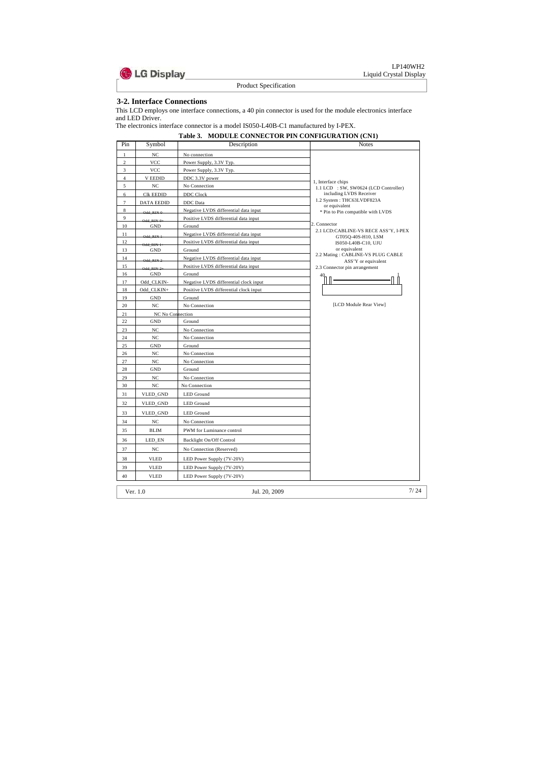

#### **3-2. Interface Connections**

This LCD employs one interface connections, a 40 pin connector is used for the module electronics interface and LED Driver.

The electronics interface connector is a model IS050-L40B-C1 manufactured by I-PEX.

|                | Table 3. MODULE CONNECTOR PIN CONFIGURATION (CN1) |                                        |                                                            |  |  |  |  |
|----------------|---------------------------------------------------|----------------------------------------|------------------------------------------------------------|--|--|--|--|
| Pin            | Symbol                                            | Description                            | <b>Notes</b>                                               |  |  |  |  |
| $\mathbf{1}$   | NC                                                | No connection                          |                                                            |  |  |  |  |
| $\mathbf{2}$   | <b>VCC</b>                                        | Power Supply, 3.3V Typ.                |                                                            |  |  |  |  |
| 3              | <b>VCC</b>                                        | Power Supply, 3.3V Typ.                |                                                            |  |  |  |  |
| $\overline{4}$ | <b>V EEDID</b>                                    | DDC 3.3V power                         | 1, Interface chips                                         |  |  |  |  |
| 5              | NC                                                | No Connection                          | 1.1 LCD : SW, SW0624 (LCD Controller)                      |  |  |  |  |
| 6              | <b>CIK EEDID</b>                                  | DDC Clock                              | including LVDS Receiver                                    |  |  |  |  |
| $\tau$         | <b>DATA EEDID</b>                                 | DDC Data                               | 1.2 System: THC63LVDF823A<br>or equivalent                 |  |  |  |  |
| 8              | Odd RIN 0                                         | Negative LVDS differential data input  | * Pin to Pin compatible with LVDS                          |  |  |  |  |
| 9              | Odd RIN 0+                                        | Positive LVDS differential data input  |                                                            |  |  |  |  |
| 10             | <b>GND</b>                                        | Ground                                 | 2. Connector                                               |  |  |  |  |
| 11             | Odd RIN 1                                         | Negative LVDS differential data input  | 2.1 LCD:CABLINE-VS RECE ASS'Y, I-PEX<br>GT05Q-40S-H10, LSM |  |  |  |  |
| 12             | Odd RIN 1-1                                       | Positive LVDS differential data input  | IS050-L40B-C10, UJU                                        |  |  |  |  |
| 13             | <b>GND</b>                                        | Ground                                 | or equivalent                                              |  |  |  |  |
| 14             | Odd RIN 2-                                        | Negative LVDS differential data input  | 2.2 Mating: CABLINE-VS PLUG CABLE<br>ASS'Y or equivalent   |  |  |  |  |
| 15             | Odd RIN 2+                                        | Positive LVDS differential data input  | 2.3 Connector pin arrangement                              |  |  |  |  |
| 16             | GND                                               | Ground                                 |                                                            |  |  |  |  |
| 17             | Odd_CLKIN-                                        | Negative LVDS differential clock input |                                                            |  |  |  |  |
| 18             | Odd CLKIN+                                        | Positive LVDS differential clock input |                                                            |  |  |  |  |
| 19             | <b>GND</b>                                        | Ground                                 |                                                            |  |  |  |  |
| 20             | NC                                                | No Connection                          | [LCD Module Rear View]                                     |  |  |  |  |
| 21             | NC No Connection                                  |                                        |                                                            |  |  |  |  |
| 22             | <b>GND</b>                                        | Ground                                 |                                                            |  |  |  |  |
| 23             | NC                                                | No Connection                          |                                                            |  |  |  |  |
| 24             | NC                                                | No Connection                          |                                                            |  |  |  |  |
| 25             | GND                                               | Ground                                 |                                                            |  |  |  |  |
| 26             | NC                                                | No Connection                          |                                                            |  |  |  |  |
| 27             | NC                                                | No Connection                          |                                                            |  |  |  |  |
| 28             | <b>GND</b>                                        | Ground                                 |                                                            |  |  |  |  |
| 29             | NC                                                | No Connection                          |                                                            |  |  |  |  |
| 30             | NC                                                | No Connection                          |                                                            |  |  |  |  |
| 31             | VLED_GND                                          | <b>LED</b> Ground                      |                                                            |  |  |  |  |
| 32             | VLED_GND                                          | <b>LED</b> Ground                      |                                                            |  |  |  |  |
| 33             | VLED_GND                                          | <b>LED</b> Ground                      |                                                            |  |  |  |  |
| 34             | $_{\mathrm{NC}}$                                  | No Connection                          |                                                            |  |  |  |  |
| 35             | <b>BLIM</b>                                       | PWM for Luminance control              |                                                            |  |  |  |  |
| 36             | LED_EN                                            | Backlight On/Off Control               |                                                            |  |  |  |  |
| 37             | $_{\mathrm{NC}}$                                  | No Connection (Reserved)               |                                                            |  |  |  |  |
| 38             | <b>VLED</b>                                       | LED Power Supply (7V-20V)              |                                                            |  |  |  |  |
| 39             | <b>VLED</b>                                       | LED Power Supply (7V-20V)              |                                                            |  |  |  |  |
|                |                                                   |                                        |                                                            |  |  |  |  |
| 40             | <b>VLED</b>                                       | LED Power Supply (7V-20V)              |                                                            |  |  |  |  |
|                | Ver. 1.0                                          | Jul. 20, 2009                          | 7/24                                                       |  |  |  |  |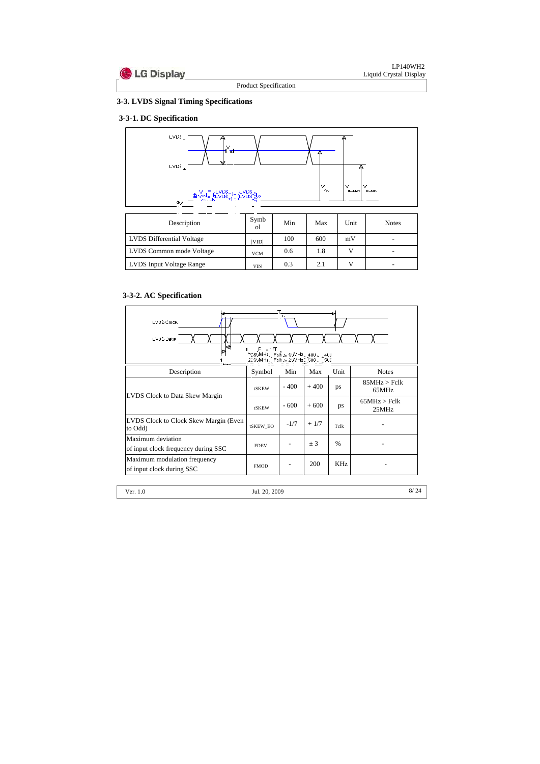

# **3-3. LVDS Signal Timing Specifications**

# **3-3-1. DC Specification**



| Description               | Symb<br>Οl | Min | Max | Unit | <b>Notes</b>             |
|---------------------------|------------|-----|-----|------|--------------------------|
| LVDS Differential Voltage | VID        | 100 | 600 | mV   | $\overline{\phantom{0}}$ |
| LVDS Common mode Voltage  | <b>VCM</b> | 0.6 | 1.8 |      | $\overline{\phantom{0}}$ |
| LVDS Input Voltage Range  | VIN        | 0.3 | 2.1 |      | $\overline{\phantom{0}}$ |

# **3-3-2. AC Specification**

| ы<br>LVDS Clock<br>LVDS Dat a<br>k<br>ா                   |              |        |            |               |                       |  |
|-----------------------------------------------------------|--------------|--------|------------|---------------|-----------------------|--|
| Description                                               | Symbol       | Min    | Max        | Unit          | <b>Notes</b>          |  |
|                                                           | <b>tSKEW</b> | $-400$ | $+400$     | ps            | 85MHz > Fclk<br>65MHz |  |
| <b>LVDS Clock to Data Skew Margin</b>                     | <b>tSKEW</b> | $-600$ | $+600$     | ps            | 65MHz > Fclk<br>25MHz |  |
| LVDS Clock to Clock Skew Margin (Even<br>to Odd)          | tSKEW_EO     | $-1/7$ | $+1/7$     | Tclk          |                       |  |
| Maximum deviation<br>of input clock frequency during SSC  | <b>FDEV</b>  |        | ± 3        | $\frac{0}{0}$ |                       |  |
| Maximum modulation frequency<br>of input clock during SSC | <b>FMOD</b>  |        | <b>200</b> | KHz           |                       |  |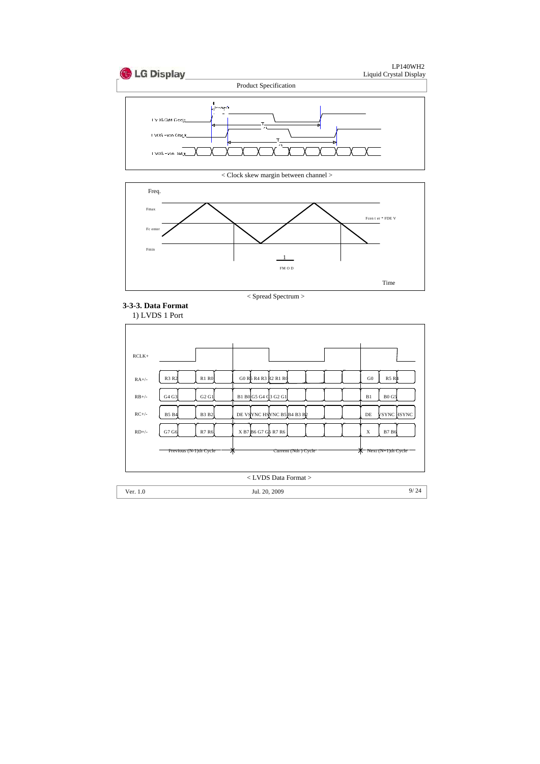

< Clock skew margin between channel >





# **3-3-3. Data Format** 1) LVDS 1 Port

| $RCLK+$ |                              |                                 |                             |
|---------|------------------------------|---------------------------------|-----------------------------|
| $RA+/-$ | R3 R2<br><b>R1 R0</b>        | G0 R5 R4 R3 R2 R1 R0            | G <sub>0</sub><br>R5 R      |
| $RB+/$  | G4 G3<br>G2 G1               | B1 B0 G5 G4 Q3 G2 G1            | <b>BO G5</b><br>B1          |
| $RC+/-$ | <b>B5 B4</b><br><b>B3 B2</b> | DE VSYNC HSYNC B5 B4 B3 B2      | ysync hsync<br>DE           |
| $RD+/-$ | G7 G6<br>R7 R6               | X B7 B6 G7 G6 R7 R6             | $\mathbf X$<br><b>B7</b> B6 |
|         | Previous (N-1)th Cycle       | Current (Nth.) Cycle<br>⊼       | Next (N+1)th Cycle<br>ᅎ     |
|         |                              | <lvds data="" format=""></lvds> |                             |

Ver. 1.0 9/ 24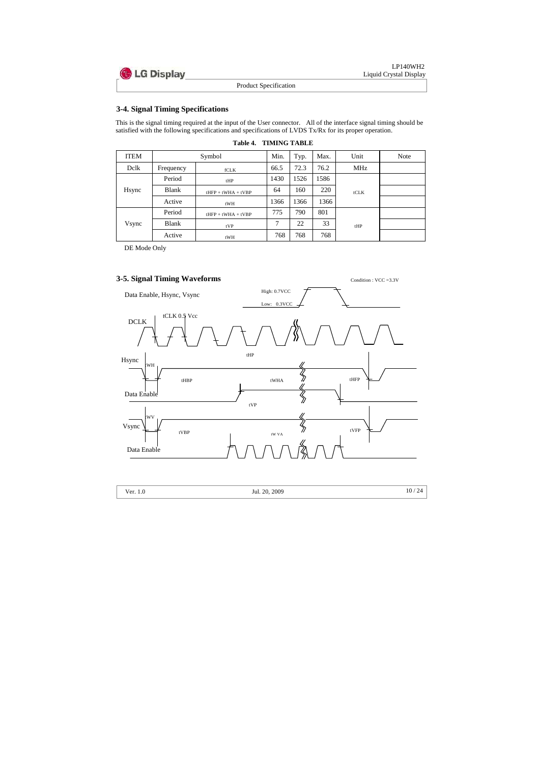

## **3-4. Signal Timing Specifications**

This is the signal timing required at the input of the User connector. All of the interface signal timing should be satisfied with the following specifications and specifications of LVDS Tx/Rx for its proper operation.

|  | <b>Table 4. TIMING TABLE</b> |
|--|------------------------------|
|--|------------------------------|

| <b>ITEM</b> | Symbol       |                      | Min. | Typ. | Max. | Unit       | <b>Note</b> |
|-------------|--------------|----------------------|------|------|------|------------|-------------|
| Delk        | Frequency    | fCLK                 | 66.5 | 72.3 | 76.2 | <b>MHz</b> |             |
|             | Period       | tHP                  | 1430 | 1526 | 1586 |            |             |
| Hsync       | <b>Blank</b> | $tHFP + tWHA + tVBP$ | 64   | 160  | 220  | tCLK       |             |
|             | Active       | tWH                  | 1366 | 1366 | 1366 |            |             |
|             | Period       | $tHFP + tWHA + tVBP$ | 775  | 790  | 801  |            |             |
| Vsync       | <b>Blank</b> | tVP                  | 7    | 22   | 33   | tHP        |             |
|             | Active       | tWH                  | 768  | 768  | 768  |            |             |

DE Mode Only

# **3-5. Signal Timing Waveforms** Condition : VCC =3.3V



|  | Ver. 1.0 | Jul. 20, 2009 | 10/24 |
|--|----------|---------------|-------|
|--|----------|---------------|-------|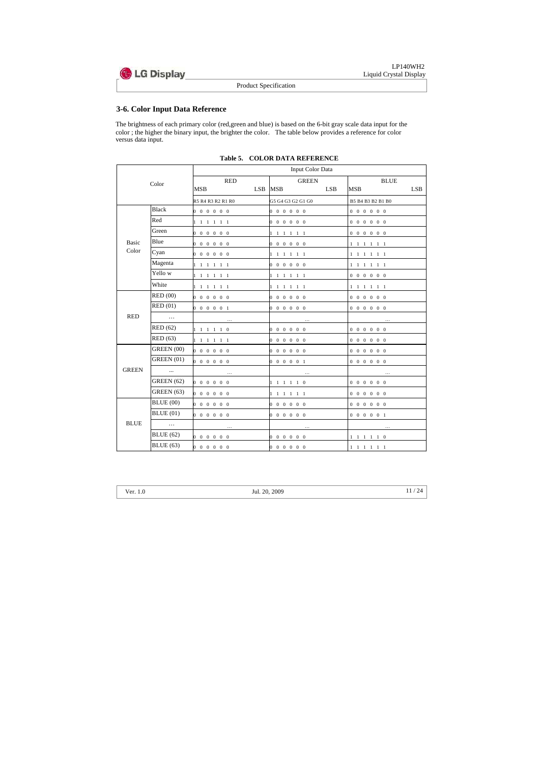

# **3-6. Color Input Data Reference**

The brightness of each primary color (red,green and blue) is based on the 6-bit gray scale data input for the color ; the higher the binary input, the brighter the color. The table below provides a reference for color versus data input.

|              |                   | Input Color Data                            |            |                                        |            |                                                     |            |  |
|--------------|-------------------|---------------------------------------------|------------|----------------------------------------|------------|-----------------------------------------------------|------------|--|
|              | Color             | <b>RED</b>                                  |            | <b>GREEN</b>                           |            | <b>BLUE</b>                                         |            |  |
|              |                   | MSB                                         | <b>LSB</b> | <b>MSB</b>                             | <b>LSB</b> | <b>MSB</b>                                          | <b>LSB</b> |  |
|              |                   | R5 R4 R3 R2 R1 R0                           |            | G5 G4 G3 G2 G1 G0                      |            | B5 B4 B3 B2 B1 B0                                   |            |  |
|              | <b>Black</b>      | $0\;\; 0\;\; 0\;\; 0\;\; 0\;\; 0$           |            | $0\;\; 0\;\; 0\;\; 0\;\; 0\;\; 0$      |            | $0 \t0 \t0 \t0 \t0 \t0$                             |            |  |
|              | Red               | 1 1 1 1 1 1                                 |            | $0\;\; 0\;\; 0\;\; 0\;\; 0\;\; 0$      |            | $0 \t0 \t0 \t0 \t0 \t0$                             |            |  |
|              | Green             | $0\;\; 0\;\; 0\;\; 0\;\; 0\;\; 0$           |            | $1 \t1 \t1 \t1 \t1 \t1$                |            | $0 \t0 \t0 \t0 \t0 \t0$                             |            |  |
| <b>Basic</b> | Blue              | $0\;\; 0\;\; 0\;\; 0\;\; 0\;\; 0$           |            | $0\;\; 0\;\; 0\;\; 0\;\; 0\;\; 0$      |            | $1 \t1 \t1 \t1 \t1 \t1$                             |            |  |
| Color        | Cyan              | $0\;\; 0\;\; 0\;\; 0\;\; 0\;\; 0$           |            | $1 \t1 \t1 \t1 \t1 \t1$                |            | $1 \t1 \t1 \t1 \t1 \t1$                             |            |  |
|              | Magenta           | 1 1 1 1 1 1                                 |            | $0\;\; 0\;\; 0\;\; 0\;\; 0\;\; 0$      |            | $1 \t1 \t1 \t1 \t1 \t1$                             |            |  |
|              | Yello w           | $1 \t1 \t1 \t1 \t1 \t1$                     |            | $1 \t1 \t1 \t1 \t1 \t1$                |            | $0 \t0 \t0 \t0 \t0 \t0$                             |            |  |
|              | White             | $1 \t1 \t1 \t1 \t1 \t1$                     |            | $1 \t1 \t1 \t1 \t1 \t1$                |            | $1\  \  1\  \  1\  \  1\  \  1\  \  1$              |            |  |
|              | <b>RED</b> (00)   | 0 0 0 0 0 0                                 |            | $0\; 0\; 0\; 0\; 0\; 0$                |            | $0\;\; 0\;\; 0\;\; 0\;\; 0\;\; 0$                   |            |  |
|              | RED(01)           | $0 \t0 \t0 \t0 \t0 \t1$                     |            | $0\;\; 0\;\; 0\;\; 0\;\; 0\;\; 0$      |            | $0\ 0\ 0\ 0\ 0\ 0$                                  |            |  |
| <b>RED</b>   | $\ddotsc$         | $\dots$                                     |            | $\dots$                                |            | $\ldots$                                            |            |  |
|              | <b>RED</b> (62)   | $1 \quad 1 \quad 1 \quad 1 \quad 1 \quad 0$ |            | $0\; 0\; 0\; 0\; 0\; 0$                |            | $0 \t0 \t0 \t0 \t0 \t0$                             |            |  |
|              | <b>RED</b> (63)   | $1 \t1 \t1 \t1 \t1 \t1$                     |            | $0\;\; 0\;\; 0\;\; 0\;\; 0\;\; 0$      |            | $0 \t0 \t0 \t0 \t0 \t0$                             |            |  |
|              | GREEN (00)        | $0\ 0\ 0\ 0\ 0\ 0$                          |            | $0\;\; 0\;\; 0\;\; 0\;\; 0\;\; 0$      |            | $0 \t0 \t0 \t0 \t0 \t0$                             |            |  |
|              | <b>GREEN</b> (01) | $0\; 0\; 0\; 0\; 0\; 0$                     |            | 0 0 0 0 0 1                            |            | $0\; 0\; 0\; 0\; 0\; 0$                             |            |  |
| <b>GREEN</b> | $\ldots$          | $\dots$                                     |            | $\ldots$                               |            | $\dots$                                             |            |  |
|              | <b>GREEN</b> (62) | $0 \t0 \t0 \t0 \t0 \t0$                     |            | $1 \t1 \t1 \t1 \t1 \t0$                |            | $\begin{matrix} 0 & 0 & 0 & 0 & 0 & 0 \end{matrix}$ |            |  |
|              | <b>GREEN</b> (63) | $0\;\; 0\;\; 0\;\; 0\;\; 0\;\; 0$           |            | $1 \t1 \t1 \t1 \t1 \t1$                |            | $0 \t0 \t0 \t0 \t0 \t0$                             |            |  |
|              | <b>BLUE</b> (00)  | $0\quad 0\quad 0\quad 0\quad 0\quad 0$      |            | $0\;\; 0\;\; 0\;\; 0\;\; 0\;\; 0$      |            | $0 \t0 \t0 \t0 \t0 \t0$                             |            |  |
|              | BLUE(01)          | $0\;\; 0\;\; 0\;\; 0\;\; 0\;\; 0$           |            | $0\;\; 0\;\; 0\;\; 0\;\; 0\;\; 0$      |            | $0 \t0 \t0 \t0 \t0 \t1$                             |            |  |
| <b>BLUE</b>  | $\ldots$          | $\ldots$                                    |            | $\dots$                                |            | $\dots$                                             |            |  |
|              | <b>BLUE</b> (62)  | 0 0 0 0 0 0                                 |            | $0\; 0\; 0\; 0\; 0\; 0$                |            | $1 \quad 1 \quad 1 \quad 1 \quad 1 \quad 0$         |            |  |
|              | <b>BLUE</b> (63)  | $0\;\; 0\;\; 0\;\; 0\;\; 0\;\; 0$           |            | $0\quad 0\quad 0\quad 0\quad 0\quad 0$ |            | $1 \t1 \t1 \t1 \t1 \t1$                             |            |  |

 **Table 5. COLOR DATA REFERENCE**

| еr | ) |
|----|---|
|    |   |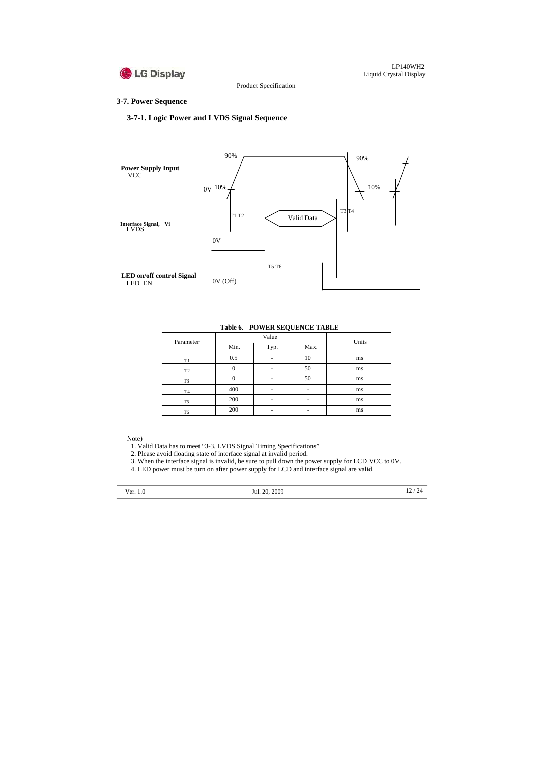#### **3-7. Power Sequence**

## **3-7-1. Logic Power and LVDS Signal Sequence**



|  |  | Table 6. POWER SEQUENCE TABLE |  |
|--|--|-------------------------------|--|
|--|--|-------------------------------|--|

| Parameter      |          | Value                    | Units |    |
|----------------|----------|--------------------------|-------|----|
|                | Min.     | Typ.                     | Max.  |    |
| T1             | 0.5      |                          | 10    | ms |
| T <sub>2</sub> | O        |                          | 50    | ms |
| T <sub>3</sub> | $\theta$ |                          | 50    | ms |
| T <sub>4</sub> | 400      | -                        |       | ms |
| T <sub>5</sub> | 200      |                          |       | ms |
| T6             | 200      | $\overline{\phantom{0}}$ |       | ms |

#### Note)

1. Valid Data has to meet "3-3. LVDS Signal Timing Specifications"

2. Please avoid floating state of interface signal at invalid period.

3. When the interface signal is invalid, be sure to pull down the power supply for LCD VCC to 0V.

4. LED power must be turn on after power supply for LCD and interface signal are valid.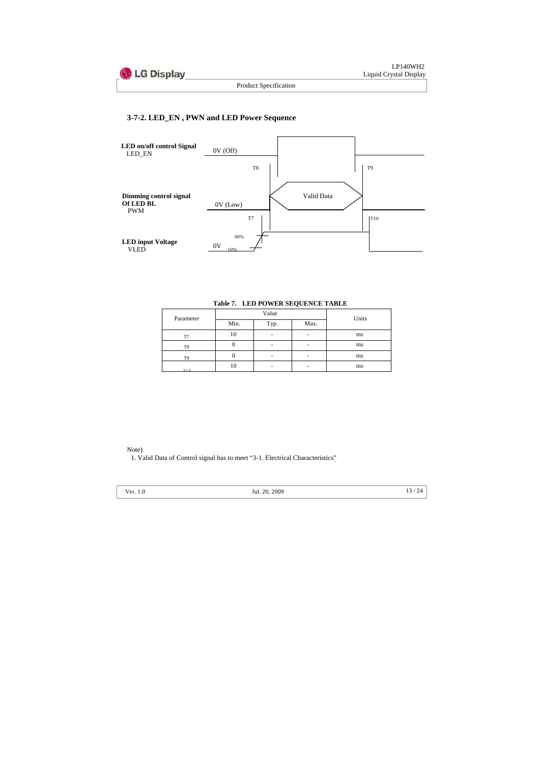## **3-7-2. LED\_EN , PWN and LED Power Sequence**



#### **Table 7. LED POWER SEQUENCE TABLE**

| Parameter      |      | Value | Units |    |
|----------------|------|-------|-------|----|
|                | Min. | Typ.  | Max.  |    |
| T7             | 10   |       |       | ms |
| T8             |      |       |       | ms |
| T <sub>9</sub> |      | -     |       | ms |
| T10            | 10   |       |       | ms |

#### Note)

1. Valid Data of Control signal has to meet "3-1. Electrical Characteristics"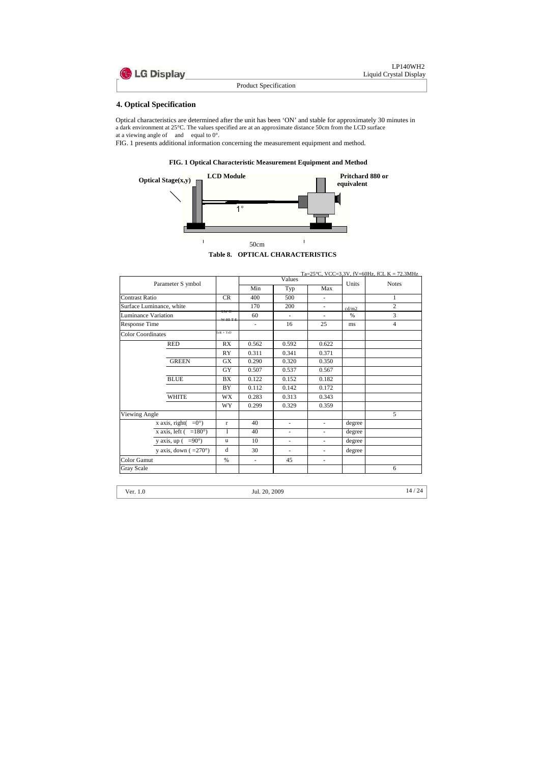Optical characteristics are determined after the unit has been 'ON' and stable for approximately 30 minutes in a dark environment at 25°C. The values specified are at an approximate distance 50cm from the LCD surface at a viewing angle of and equal to  $0^\circ$ .

# **4. Optical Specification**

FIG. 1 presents additional information concerning the measurement equipment and method.





**Table 8. OPTICAL CHARACTERISTICS**

|                                |                               |                      |                          |                          |                          |        | Ta=25 °C, VCC=3.3V, fV=60Hz, fCL K = 72.3MHz |
|--------------------------------|-------------------------------|----------------------|--------------------------|--------------------------|--------------------------|--------|----------------------------------------------|
| Parameter S ymbol              |                               |                      | Values                   |                          |                          | Units  | <b>Notes</b>                                 |
|                                |                               |                      | Min                      | Typ                      | Max                      |        |                                              |
| <b>Contrast Ratio</b>          |                               | CR                   | 400                      | 500                      | $\overline{\phantom{0}}$ |        | 1                                            |
| Surface Luminance, white       |                               |                      | 170                      | 200                      | $\overline{\phantom{a}}$ | cd/m2  | $\overline{2}$                               |
| <b>Luminance Variation</b>     |                               | <b>LW H</b><br>WHITE | 60                       | $\overline{\phantom{0}}$ | $\overline{\phantom{a}}$ | $\%$   | $\overline{3}$                               |
| <b>Response Time</b>           |                               |                      | $\overline{\phantom{a}}$ | 16                       | 25                       | ms     | $\overline{4}$                               |
| <b>Color Coordinates</b>       |                               | $TrR + TrD$          |                          |                          |                          |        |                                              |
|                                | <b>RED</b>                    | RX                   | 0.562                    | 0.592                    | 0.622                    |        |                                              |
|                                |                               | RY                   | 0.311                    | 0.341                    | 0.371                    |        |                                              |
|                                | <b>GREEN</b>                  | GX                   | 0.290                    | 0.320                    | 0.350                    |        |                                              |
|                                |                               | <b>GY</b>            | 0.507                    | 0.537                    | 0.567                    |        |                                              |
|                                | <b>BLUE</b>                   | BX                   | 0.122                    | 0.152                    | 0.182                    |        |                                              |
|                                |                               | BY                   | 0.112                    | 0.142                    | 0.172                    |        |                                              |
|                                | <b>WHITE</b>                  | <b>WX</b>            | 0.283                    | 0.313                    | 0.343                    |        |                                              |
|                                |                               | WY                   | 0.299                    | 0.329                    | 0.359                    |        |                                              |
| <b>Viewing Angle</b>           |                               |                      |                          |                          |                          |        | 5                                            |
|                                | x axis, right $( =0^{\circ})$ | $\bf r$              | 40                       | $\blacksquare$           | $\overline{\phantom{0}}$ | degree |                                              |
| x axis, left $( =180^{\circ})$ |                               | 1                    | 40                       | $\blacksquare$           | $\overline{\phantom{a}}$ | degree |                                              |
| y axis, up $( =90^\circ)$      |                               | $\mathbf u$          | 10                       | $\overline{\phantom{a}}$ | $\overline{\phantom{a}}$ | degree |                                              |
|                                | y axis, down $(=270^{\circ})$ | d                    | 30                       | $\frac{1}{2}$            | $\overline{\phantom{a}}$ | degree |                                              |
| Color Gamut                    |                               | $\%$                 | $\blacksquare$           | 45                       | $\overline{\phantom{a}}$ |        |                                              |
| <b>Gray Scale</b>              |                               |                      |                          |                          |                          |        | 6                                            |

Ver. 1.0 14 / 24 Jul. 20, 2009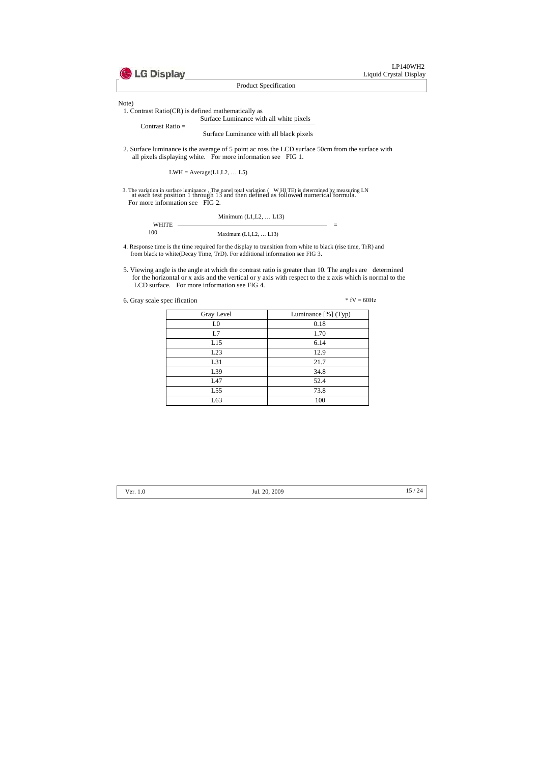

Note)

1. Contrast Ratio(CR) is defined mathematically as

Surface Luminance with all white pixels

Contrast Ratio =

Surface Luminance with all black pixels

2. Surface luminance is the average of 5 point ac ross the LCD surface 50cm from the surface with all pixels displaying white. For more information see FIG 1.

 $LWH = Average(L1, L2, ... L5)$ 

3. The variation in surface luminance , The panel total variation ( W HI TE) is determined by measuring LN at each test position 1 through 13 and then defined as followed numerical formula. For more information see FIG 2.

|              | Minimum $(L1, L2, \ldots L13)$ |  |
|--------------|--------------------------------|--|
| <b>WHITE</b> |                                |  |
| 100          | Maximum $(L1, L2,  L13)$       |  |

- 4. Response time is the time required for the display to transition from white to black (rise time, TrR) and from black to white(Decay Time, TrD). For additional information see FIG 3.
- 5. Viewing angle is the angle at which the contrast ratio is greater than 10. The angles are determined for the horizontal or x axis and the vertical or y axis with respect to the z axis which is normal to the LCD surface. For more information see FIG 4.

6. Gray scale spec ification  $*$  fV = 60Hz

| Gray Level     | Luminance [%] (Typ) |  |  |
|----------------|---------------------|--|--|
| L <sub>0</sub> | 0.18                |  |  |
| L7             | 1.70                |  |  |
| L15            | 6.14                |  |  |
| L23            | 12.9                |  |  |
| L31            | 21.7                |  |  |
| L39            | 34.8                |  |  |
| L47            | 52.4                |  |  |
| L55            | 73.8                |  |  |
| L63            | 100                 |  |  |